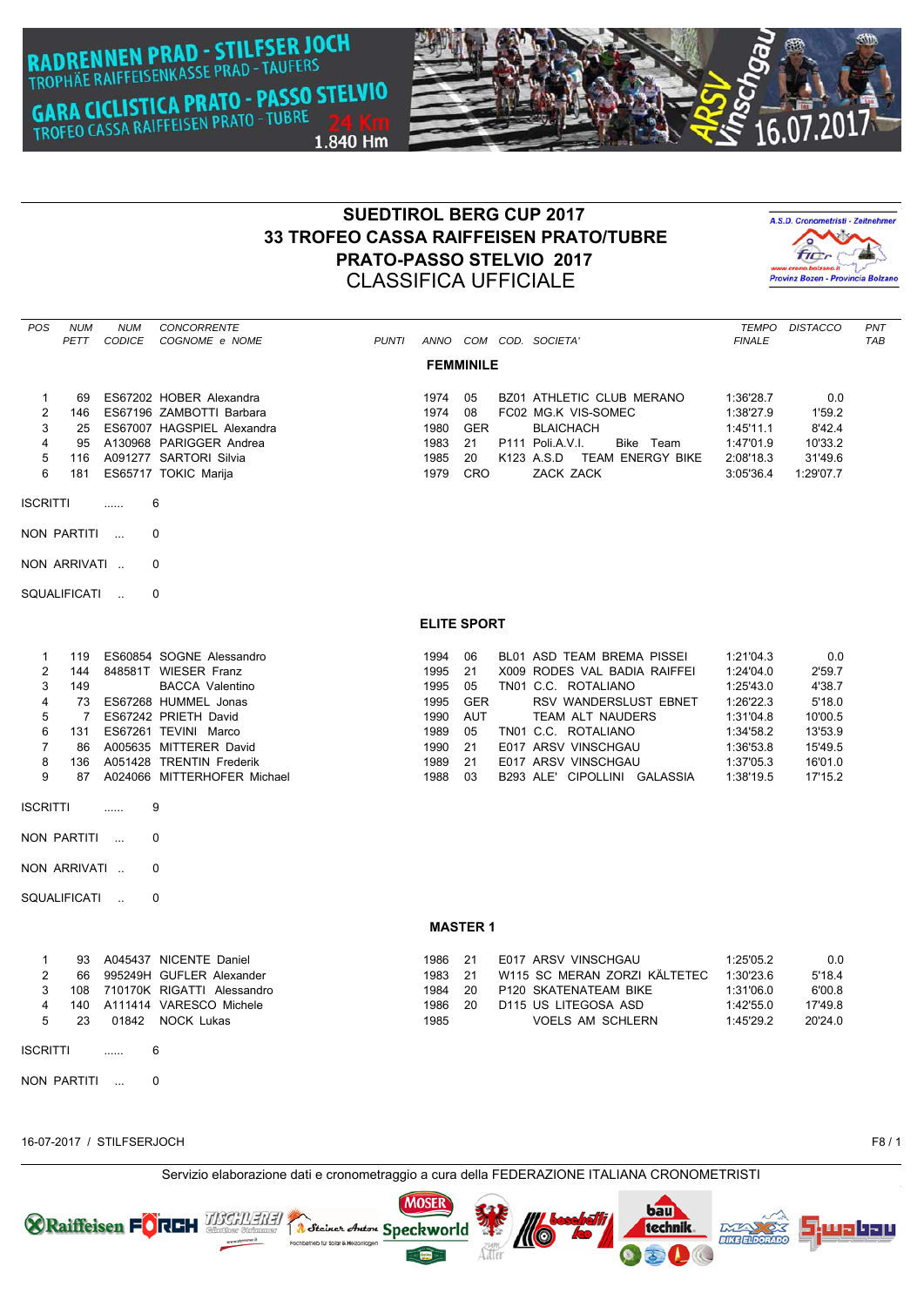**RADRENNEN PRAD - STILFSER JOCH**<br>TROPHÄE RAIFFEISENKASSE PRAD - TAUFERS **GARA CICLISTICA PRATO - PASSO STELVIO** GARA CICLISTICA PRATO - TUBRE<br>TROFEO CASSA RAIFFEISEN PRATO - TUBRE 1.840 Hm



# **SUEDTIROL BERG CUP 2017 33 TROFEO CASSA RAIFFEISEN PRATO/TUBRE PRATO-PASSO STELVIO 2017** CLASSIFICA UFFICIALE



| POS<br><b>NUM</b><br>PETT                                                                                                                                                                       | <b>NUM</b><br>CONCORRENTE<br>CODICE<br>COGNOME e NOME                                                                                                                                                                                                        | <b>PUNTI</b> |                                                                      |                                                                    | ANNO COM COD. SOCIETA'                                                                                                                                                                                                                     | TEMPO<br><b>FINALE</b>                                                                                            | <b>DISTACCO</b>                                                                          | PNT<br><b>TAB</b> |
|-------------------------------------------------------------------------------------------------------------------------------------------------------------------------------------------------|--------------------------------------------------------------------------------------------------------------------------------------------------------------------------------------------------------------------------------------------------------------|--------------|----------------------------------------------------------------------|--------------------------------------------------------------------|--------------------------------------------------------------------------------------------------------------------------------------------------------------------------------------------------------------------------------------------|-------------------------------------------------------------------------------------------------------------------|------------------------------------------------------------------------------------------|-------------------|
|                                                                                                                                                                                                 |                                                                                                                                                                                                                                                              |              | <b>FEMMINILE</b>                                                     |                                                                    |                                                                                                                                                                                                                                            |                                                                                                                   |                                                                                          |                   |
| $\mathbf{1}$<br>69<br>$\overline{2}$<br>146<br>3<br>25<br>4<br>95<br>5<br>116<br>6<br>181                                                                                                       | ES67202 HOBER Alexandra<br>ES67196 ZAMBOTTI Barbara<br>ES67007 HAGSPIEL Alexandra<br>A130968 PARIGGER Andrea<br>A091277 SARTORI Silvia<br>ES65717 TOKIC Marija                                                                                               |              | 1974<br>1974<br>1980<br>1983<br>1985<br>1979                         | 05<br>08<br><b>GER</b><br>21<br>20<br>CRO                          | <b>BZ01 ATHLETIC CLUB MERANO</b><br>FC02 MG.K VIS-SOMEC<br><b>BLAICHACH</b><br>P111 Poli.A.V.I.<br>Bike Team<br>K123 A.S.D TEAM ENERGY BIKE<br>ZACK ZACK                                                                                   | 1:36'28.7<br>1:38'27.9<br>1:45'11.1<br>1:47'01.9<br>2:08'18.3<br>3:05'36.4                                        | 0.0<br>1'59.2<br>8'42.4<br>10'33.2<br>31'49.6<br>1:29'07.7                               |                   |
| <b>ISCRITTI</b>                                                                                                                                                                                 | 6<br>.                                                                                                                                                                                                                                                       |              |                                                                      |                                                                    |                                                                                                                                                                                                                                            |                                                                                                                   |                                                                                          |                   |
| NON PARTITI                                                                                                                                                                                     | $\Omega$<br>$\sim$ $\sim$                                                                                                                                                                                                                                    |              |                                                                      |                                                                    |                                                                                                                                                                                                                                            |                                                                                                                   |                                                                                          |                   |
| NON ARRIVATI                                                                                                                                                                                    | $\Omega$                                                                                                                                                                                                                                                     |              |                                                                      |                                                                    |                                                                                                                                                                                                                                            |                                                                                                                   |                                                                                          |                   |
| SQUALIFICATI                                                                                                                                                                                    | 0                                                                                                                                                                                                                                                            |              |                                                                      |                                                                    |                                                                                                                                                                                                                                            |                                                                                                                   |                                                                                          |                   |
|                                                                                                                                                                                                 |                                                                                                                                                                                                                                                              |              | <b>ELITE SPORT</b>                                                   |                                                                    |                                                                                                                                                                                                                                            |                                                                                                                   |                                                                                          |                   |
| $\mathbf 1$<br>119<br>2<br>144<br>3<br>149<br>$\overline{\mathbf{A}}$<br>73<br>5<br>$\overline{7}$<br>6<br>131<br>$\overline{7}$<br>86<br>8<br>136<br>9<br>87<br><b>ISCRITTI</b><br>NON PARTITI | ES60854 SOGNE Alessandro<br>848581T WIESER Franz<br><b>BACCA Valentino</b><br>ES67268 HUMMEL Jonas<br>ES67242 PRIETH David<br>ES67261 TEVINI Marco<br>A005635 MITTERER David<br>A051428 TRENTIN Frederik<br>A024066 MITTERHOFER Michael<br>9<br>1.1.1.1<br>0 |              | 1994<br>1995<br>1995<br>1995<br>1990<br>1989<br>1990<br>1989<br>1988 | 06<br>21<br>05<br><b>GER</b><br><b>AUT</b><br>05<br>21<br>21<br>03 | <b>BL01 ASD TEAM BREMA PISSEI</b><br>X009 RODES VAL BADIA RAIFFEI<br>TN01 C.C. ROTALIANO<br>RSV WANDERSLUST EBNET<br>TEAM ALT NAUDERS<br>TN01 C.C. ROTALIANO<br>E017 ARSV VINSCHGAU<br>E017 ARSV VINSCHGAU<br>B293 ALE' CIPOLLINI GALASSIA | 1:21'04.3<br>1:24'04.0<br>1:25'43.0<br>1:26'22.3<br>1:31'04.8<br>1:34'58.2<br>1:36'53.8<br>1:37'05.3<br>1:38'19.5 | 0.0<br>2'59.7<br>4'38.7<br>5'18.0<br>10'00.5<br>13'53.9<br>15'49.5<br>16'01.0<br>17'15.2 |                   |
| NON ARRIVATI                                                                                                                                                                                    | 0                                                                                                                                                                                                                                                            |              |                                                                      |                                                                    |                                                                                                                                                                                                                                            |                                                                                                                   |                                                                                          |                   |
| SQUALIFICATI                                                                                                                                                                                    | $\Omega$<br>$\sim$                                                                                                                                                                                                                                           |              |                                                                      |                                                                    |                                                                                                                                                                                                                                            |                                                                                                                   |                                                                                          |                   |
|                                                                                                                                                                                                 |                                                                                                                                                                                                                                                              |              | <b>MASTER 1</b>                                                      |                                                                    |                                                                                                                                                                                                                                            |                                                                                                                   |                                                                                          |                   |
| $\mathbf{1}$<br>93<br>2<br>66<br>3<br>108<br>$\overline{4}$<br>140<br>5<br>23<br><b>ISCRITTI</b><br>NON PARTITI                                                                                 | A045437 NICENTE Daniel<br>995249H GUFLER Alexander<br>710170K RIGATTI Alessandro<br>A111414 VARESCO Michele<br>01842 NOCK Lukas<br>6<br>.<br>0<br>$\sim$                                                                                                     |              | 1986<br>1983<br>1984<br>1986<br>1985                                 | 21<br>21<br>20<br>20                                               | E017 ARSV VINSCHGAU<br>W115 SC MERAN ZORZI KÄLTETEC<br>P120 SKATENATEAM BIKE<br>D115 US LITEGOSA ASD<br><b>VOELS AM SCHLERN</b>                                                                                                            | 1:25'05.2<br>1:30'23.6<br>1:31'06.0<br>1:42'55.0<br>1:45'29.2                                                     | 0.0<br>5'18.4<br>6'00.8<br>17'49.8<br>20'24.0                                            |                   |

16-07-2017 / STILFSERJOCH F8 / 1

Servizio elaborazione dati e cronometraggio a cura della FEDERAZIONE ITALIANA CRONOMETRISTI





bau

technik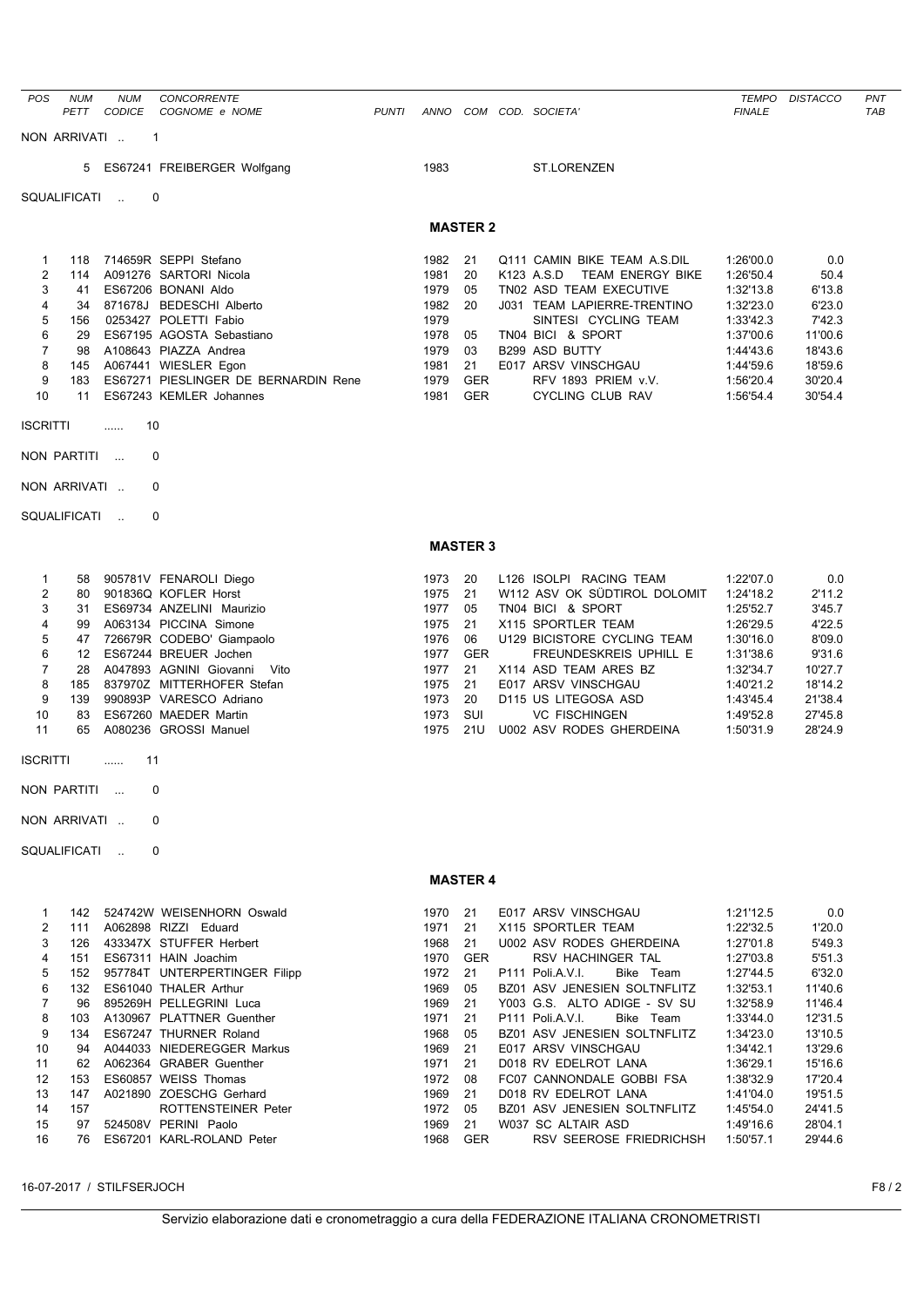| POS             | <b>NUM</b><br>PETT | <b>NUM</b><br><b>CODICE</b> | CONCORRENTE<br>COGNOME e NOME                                | <b>PUNTI</b> | ANNO         |                  | COM COD. SOCIETA'                                      | <b>FINALE</b>          | TEMPO DISTACCO     | PNT<br><b>TAB</b> |
|-----------------|--------------------|-----------------------------|--------------------------------------------------------------|--------------|--------------|------------------|--------------------------------------------------------|------------------------|--------------------|-------------------|
|                 | NON ARRIVATI       |                             | $\mathbf 1$                                                  |              |              |                  |                                                        |                        |                    |                   |
|                 | 5                  |                             | ES67241 FREIBERGER Wolfgang                                  |              | 1983         |                  | <b>ST.LORENZEN</b>                                     |                        |                    |                   |
|                 | SQUALIFICATI       | $\sim$                      | $\Omega$                                                     |              |              |                  |                                                        |                        |                    |                   |
|                 |                    |                             |                                                              |              |              |                  |                                                        |                        |                    |                   |
|                 |                    |                             |                                                              |              |              | <b>MASTER 2</b>  |                                                        |                        |                    |                   |
| $\mathbf{1}$    | 118                |                             | 714659R SEPPI Stefano                                        |              | 1982         | 21               | Q111 CAMIN BIKE TEAM A.S.DIL                           | 1:26'00.0              | 0.0                |                   |
| 2               | 114                |                             | A091276 SARTORI Nicola                                       |              | 1981         | 20<br>05         | K123 A.S.D<br><b>TEAM ENERGY BIKE</b>                  | 1:26'50.4              | 50.4               |                   |
| 3<br>4          | 41<br>34           |                             | ES67206 BONANI Aldo<br>871678J BEDESCHI Alberto              |              | 1979<br>1982 | 20               | TN02 ASD TEAM EXECUTIVE<br>J031 TEAM LAPIERRE-TRENTINO | 1:32'13.8<br>1:32'23.0 | 6'13.8<br>6'23.0   |                   |
| 5               | 156                |                             | 0253427 POLETTI Fabio                                        |              | 1979         |                  | SINTESI CYCLING TEAM                                   | 1:33'42.3              | 7'42.3             |                   |
| 6               | 29                 |                             | ES67195 AGOSTA Sebastiano                                    |              | 1978         | 05               | TN04 BICI & SPORT                                      | 1:37'00.6              | 11'00.6            |                   |
| 7               | 98                 |                             | A108643 PIAZZA Andrea                                        |              | 1979         | 03               | B299 ASD BUTTY                                         | 1:44'43.6              | 18'43.6            |                   |
| 8<br>9          | 145<br>183         |                             | A067441 WIESLER Egon<br>ES67271 PIESLINGER DE BERNARDIN Rene |              | 1981<br>1979 | 21<br><b>GER</b> | E017 ARSV VINSCHGAU<br>RFV 1893 PRIEM v.V.             | 1:44'59.6<br>1:56'20.4 | 18'59.6<br>30'20.4 |                   |
| 10              | 11                 |                             | ES67243 KEMLER Johannes                                      |              | 1981         | <b>GER</b>       | CYCLING CLUB RAV                                       | 1:56'54.4              | 30'54.4            |                   |
| <b>ISCRITTI</b> |                    | 10<br>.                     |                                                              |              |              |                  |                                                        |                        |                    |                   |
|                 |                    |                             |                                                              |              |              |                  |                                                        |                        |                    |                   |
|                 | NON PARTITI        |                             | 0                                                            |              |              |                  |                                                        |                        |                    |                   |
|                 | NON ARRIVATI       |                             | 0                                                            |              |              |                  |                                                        |                        |                    |                   |
|                 | SQUALIFICATI       | $\sim$                      | 0                                                            |              |              |                  |                                                        |                        |                    |                   |
|                 |                    |                             |                                                              |              |              | <b>MASTER 3</b>  |                                                        |                        |                    |                   |
| 1               | 58                 |                             | 905781V FENAROLI Diego                                       |              | 1973         | 20               | L126 ISOLPI RACING TEAM                                | 1:22'07.0              | 0.0                |                   |
| 2               | 80                 |                             | 901836Q KOFLER Horst                                         |              | 1975         | 21               | W112 ASV OK SÜDTIROL DOLOMIT                           | 1:24'18.2              | 2'11.2             |                   |
| 3               | 31                 |                             | ES69734 ANZELINI Maurizio                                    |              | 1977         | 05               | TN04 BICI & SPORT                                      | 1:25'52.7              | 3'45.7             |                   |
| 4               | 99                 |                             | A063134 PICCINA Simone                                       |              | 1975         | 21               | X115 SPORTLER TEAM                                     | 1:26'29.5              | 4'22.5             |                   |
| 5               | 47                 |                             | 726679R CODEBO' Giampaolo                                    |              | 1976         | 06               | U129 BICISTORE CYCLING TEAM                            | 1:30'16.0              | 8'09.0             |                   |
| 6<br>7          | 12<br>28           |                             | ES67244 BREUER Jochen<br>A047893 AGNINI Giovanni<br>Vito     |              | 1977<br>1977 | <b>GER</b><br>21 | FREUNDESKREIS UPHILL E<br>X114 ASD TEAM ARES BZ        | 1:31'38.6<br>1:32'34.7 | 9'31.6<br>10'27.7  |                   |
| 8               | 185                |                             | 837970Z MITTERHOFER Stefan                                   |              | 1975         | 21               | E017 ARSV VINSCHGAU                                    | 1:40'21.2              | 18'14.2            |                   |
| 9               | 139                |                             | 990893P VARESCO Adriano                                      |              | 1973         | 20               | D115 US LITEGOSA ASD                                   | 1:43'45.4              | 21'38.4            |                   |
| 10              | 83                 |                             | ES67260 MAEDER Martin                                        |              | 1973         | SUI              | <b>VC FISCHINGEN</b>                                   | 1:49'52.8              | 27'45.8            |                   |
| 11              | 65                 |                             | A080236 GROSSI Manuel                                        |              | 1975         | 21U              | U002 ASV RODES GHERDEINA                               | 1:50'31.9              | 28'24.9            |                   |
| <b>ISCRITTI</b> |                    | 11<br>.                     |                                                              |              |              |                  |                                                        |                        |                    |                   |
|                 | NON PARTITI        |                             | 0                                                            |              |              |                  |                                                        |                        |                    |                   |
|                 | NON ARRIVATI       |                             | 0                                                            |              |              |                  |                                                        |                        |                    |                   |
|                 | SQUALIFICATI       | $\sim$                      | 0                                                            |              |              |                  |                                                        |                        |                    |                   |
|                 |                    |                             |                                                              |              |              | <b>MASTER 4</b>  |                                                        |                        |                    |                   |
|                 |                    |                             |                                                              |              |              |                  |                                                        |                        |                    |                   |
| 1               |                    |                             | 142 524742W WEISENHORN Oswald                                |              | 1970         | 21               | E017 ARSV VINSCHGAU                                    | 1:21'12.5              | 0.0                |                   |
| 2               | 111                |                             | A062898 RIZZI Eduard<br>126 433347X STUFFER Herbert          |              | 1971         | 21<br>21         | X115 SPORTLER TEAM                                     | 1:22'32.5              | 1'20.0             |                   |
| 3<br>4          |                    |                             | 151 ES67311 HAIN Joachim                                     |              | 1968<br>1970 | <b>GER</b>       | U002 ASV RODES GHERDEINA<br>RSV HACHINGER TAL          | 1:27'01.8<br>1:27'03.8 | 5'49.3<br>5'51.3   |                   |
| 5               |                    |                             | 152 957784T UNTERPERTINGER Filipp                            |              | 1972         | 21               | P111 Poli.A.V.I.<br>Bike Team                          | 1:27'44.5              | 6'32.0             |                   |
| 6               |                    |                             | 132 ES61040 THALER Arthur                                    |              | 1969         | 05               | BZ01 ASV JENESIEN SOLTNFLITZ                           | 1:32'53.1              | 11'40.6            |                   |
| 7               | 96                 |                             | 895269H PELLEGRINI Luca                                      |              | 1969         | 21               | Y003 G.S. ALTO ADIGE - SV SU                           | 1:32'58.9              | 11'46.4            |                   |
| 8               | 103                |                             | A130967 PLATTNER Guenther                                    |              | 1971         | 21               | P111 Poli.A.V.I.<br>Bike Team                          | 1:33'44.0              | 12'31.5            |                   |
| 9<br>10         |                    |                             | 134 ES67247 THURNER Roland<br>94 A044033 NIEDEREGGER Markus  |              | 1968<br>1969 | 05<br>21         | BZ01 ASV JENESIEN SOLTNFLITZ<br>E017 ARSV VINSCHGAU    | 1:34'23.0<br>1:34'42.1 | 13'10.5<br>13'29.6 |                   |
| 11              |                    |                             | 62 A062364 GRABER Guenther                                   |              | 1971         | 21               | D018 RV EDELROT LANA                                   | 1:36'29.1              | 15'16.6            |                   |
| 12              | 153                |                             | ES60857 WEISS Thomas                                         |              | 1972         | 08               | FC07 CANNONDALE GOBBI FSA                              | 1:38'32.9              | 17'20.4            |                   |
| 13              | 147                |                             | A021890 ZOESCHG Gerhard                                      |              | 1969         | 21               | D018 RV EDELROT LANA                                   | 1:41'04.0              | 19'51.5            |                   |
| 14              | 157                |                             | ROTTENSTEINER Peter                                          |              | 1972         | 05               | BZ01 ASV JENESIEN SOLTNFLITZ                           | 1:45'54.0              | 24'41.5            |                   |
| 15              | 97                 |                             | 524508V PERINI Paolo                                         |              | 1969         | 21               | W037 SC ALTAIR ASD                                     | 1:49'16.6              | 28'04.1            |                   |
| 16              |                    |                             | 76 ES67201 KARL-ROLAND Peter                                 |              |              | 1968 GER         | RSV SEEROSE FRIEDRICHSH                                | 1:50'57.1              | 29'44.6            |                   |

16-07-2017 / STILFSERJOCH F8 / 2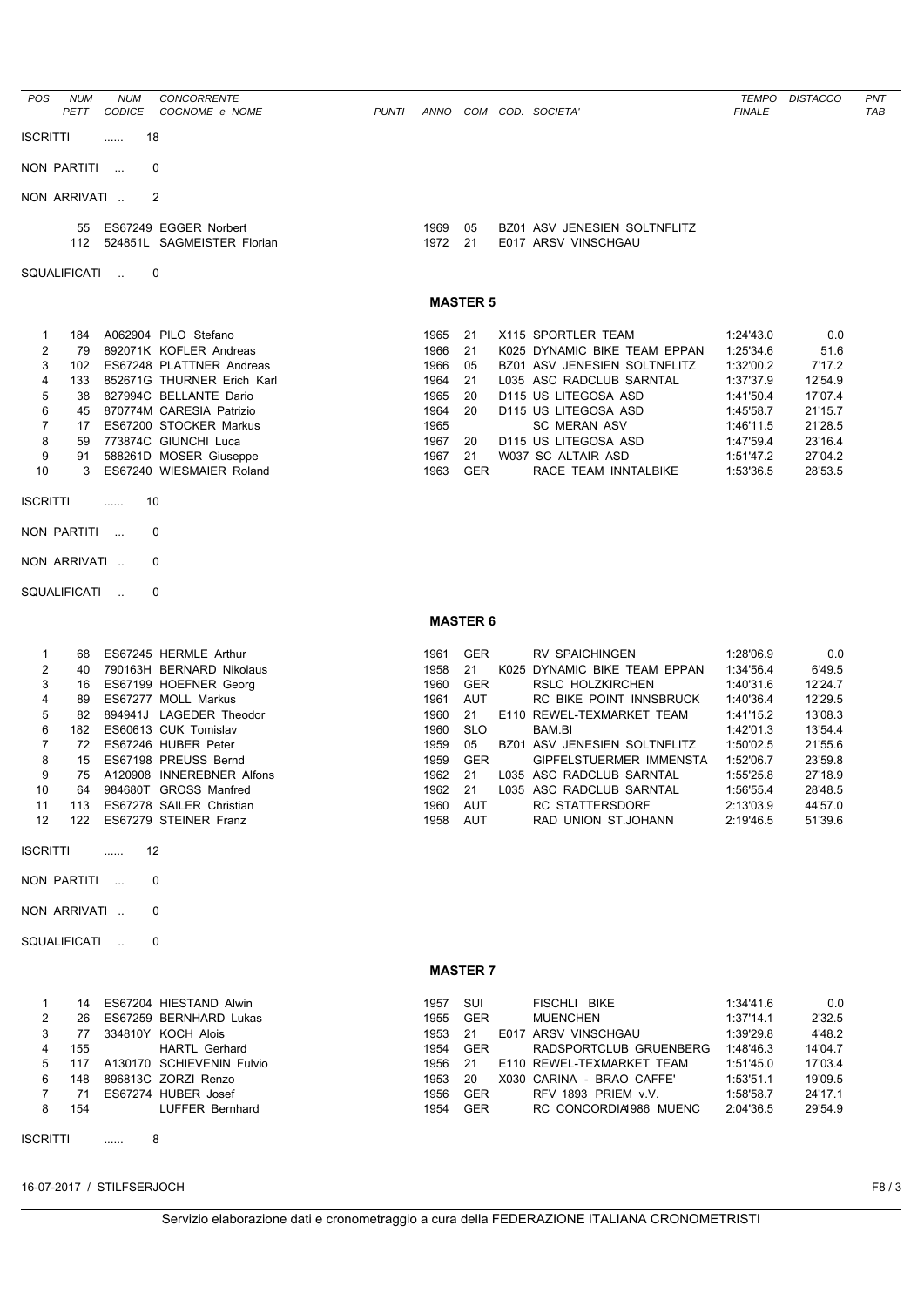| POS.            | <b>NUM</b><br><b>PETT</b> | <b>NUM</b><br><b>CODICE</b> | <b>CONCORRENTE</b><br>COGNOME e NOME                | <b>PUNTI</b> | ANNO         | COM      | COD. SOCIETA'                                       | TEMPO<br><b>FINALE</b> | <b>DISTACCO</b> | <b>PNT</b><br>TAB |
|-----------------|---------------------------|-----------------------------|-----------------------------------------------------|--------------|--------------|----------|-----------------------------------------------------|------------------------|-----------------|-------------------|
| <b>ISCRITTI</b> |                           |                             | 18                                                  |              |              |          |                                                     |                        |                 |                   |
|                 | NON PARTITI               | $\sim$                      | 0                                                   |              |              |          |                                                     |                        |                 |                   |
|                 | NON ARRIVATI              |                             | -2                                                  |              |              |          |                                                     |                        |                 |                   |
|                 | 55<br>112                 |                             | ES67249 EGGER Norbert<br>524851L SAGMEISTER Florian |              | 1969<br>1972 | 05<br>21 | BZ01 ASV JENESIEN SOLTNFLITZ<br>E017 ARSV VINSCHGAU |                        |                 |                   |
|                 | <b>SQUALIFICATI</b>       | $\mathbf{r}$                | $\Omega$                                            |              |              |          |                                                     |                        |                 |                   |

## **MASTER 5**

| 1965 21 |     | X115 SPORTLER TEAM           | 1:24'43.0 | 0.0     |
|---------|-----|------------------------------|-----------|---------|
| 1966    | 21  | K025 DYNAMIC BIKE TEAM EPPAN | 1:25'34.6 | 51.6    |
| 1966    | 05  | BZ01 ASV JENESIEN SOLTNFLITZ | 1:32'00.2 | 7'17.2  |
| 964     | 21  | L035 ASC RADCLUB SARNTAL     | 1:37'37.9 | 12'54.9 |
| 965     | 20  | D115 US LITEGOSA ASD         | 1:41'50.4 | 17'07.4 |
| 1964    | 20  | D115 US LITEGOSA ASD         | 1:45'58.7 | 21'15.7 |
| 1965    |     | <b>SC MERAN ASV</b>          | 1:46'11.5 | 21'28.5 |
| 967     | 20  | D115 US LITEGOSA ASD         | 1:47'59.4 | 23'16.4 |
| 1967    | 21  | W037 SC ALTAIR ASD           | 1:51'47.2 | 27'04.2 |
| 1963    | GER | RACE TEAM INNTALBIKE         | 1:53'36.5 | 28'53.5 |
|         |     |                              |           |         |

#### **MASTER 6**

| 1961 | <b>GER</b> | <b>RV SPAICHINGEN</b>          | 1:28'06.9 | 0.0     |
|------|------------|--------------------------------|-----------|---------|
| 1958 | 21         | K025 DYNAMIC BIKE TEAM EPPAN   | 1:34'56.4 | 6'49.5  |
| 1960 | <b>GER</b> | RSLC HOLZKIRCHEN               | 1:40'31.6 | 12'24.7 |
| 1961 | <b>AUT</b> | RC BIKE POINT INNSBRUCK        | 1:40'36.4 | 12'29.5 |
| 1960 | 21         | E110 REWEL-TEXMARKET TEAM      | 1:41'15.2 | 13'08.3 |
| 1960 | <b>SLO</b> | BAM.BI                         | 1:42'01.3 | 13'54.4 |
| 1959 | 05         | BZ01 ASV JENESIEN SOLTNFLITZ   | 1:50'02.5 | 21'55.6 |
| 1959 | <b>GER</b> | <b>GIPFELSTUERMER IMMENSTA</b> | 1:52'06.7 | 23'59.8 |
| 1962 | 21         | L035 ASC RADCLUB SARNTAL       | 1:55'25.8 | 27'18.9 |
| 1962 | 21         | L035 ASC RADCLUB SARNTAL       | 1:56'55.4 | 28'48.5 |
| 1960 | <b>AUT</b> | <b>RC STATTERSDORF</b>         | 2:13'03.9 | 44'57.0 |
| 1958 | AUT        | RAD UNION ST.JOHANN            | 2:19'46.5 | 51'39.6 |
|      |            |                                |           |         |

#### **MASTER 7**

|                | 14  | ES67204 HIESTAND Alwin    | 1957 | SUI        | FISCHLI BIKE              | 1:34'41.6 | 0.0     |
|----------------|-----|---------------------------|------|------------|---------------------------|-----------|---------|
| $\overline{2}$ | 26  | ES67259 BERNHARD Lukas    | 1955 | <b>GER</b> | <b>MUENCHEN</b>           | 1:37'14.1 | 2'32.5  |
| 3              | 77  | 334810Y KOCH Alois        | 1953 | -21        | E017 ARSV VINSCHGAU       | 1:39'29.8 | 4'48.2  |
| 4              | 155 | <b>HARTL Gerhard</b>      | 1954 | <b>GER</b> | RADSPORTCLUB GRUENBERG    | 1:48'46.3 | 14'04.7 |
| 5              | 117 | A130170 SCHIEVENIN Fulvio | 1956 | -21        | E110 REWEL-TEXMARKET TEAM | 1:51'45.0 | 17'03.4 |
| 6.             | 148 | 896813C ZORZI Renzo       | 1953 | 20         | X030 CARINA - BRAO CAFFE' | 1:53'51.1 | 19'09.5 |
|                | 71  | ES67274 HUBER Josef       | 1956 | <b>GER</b> | RFV 1893 PRIEM v.V.       | 1:58'58.7 | 24'17.1 |
| 8              | 154 | LUFFER Bernhard           | 1954 | <b>GER</b> | RC CONCORDIA1986 MUENC    | 2:04'36.5 | 29'54.9 |
|                |     |                           |      |            |                           |           |         |

ISCRITTI ...... 8

16-07-2017 / STILFSERJOCH F8 / 3

1 184 A062904 PILO Stefano 2 79 892071K KOFLER Andreas 3 102 ES67248 PLATTNER Andreas 4 133 852671G THURNER Erich Karl 5 38 827994C BELLANTE Dario 6 45 870774M CARESIA Patrizio 7 17 ES67200 STOCKER Markus 8 59 773874C GIUNCHI Luca 9 91 588261D MOSER Giuseppe 10 3 ES67240 WIESMAIER Roland

1 68 ES67245 HERMLE Arthur 2 40 790163H BERNARD Nikolaus 3 16 ES67199 HOEFNER Georg 4 89 ES67277 MOLL Markus 5 82 894941J LAGEDER Theodor 6 182 ES60613 CUK Tomislav 7 72 ES67246 HUBER Peter 8 15 ES67198 PREUSS Bernd 9 75 A120908 INNEREBNER Alfons 10 64 984680T GROSS Manfred 11 113 ES67278 SAILER Christian 12 122 ES67279 STEINER Franz

ISCRITTI ...... 10 NON PARTITI ... 0 NON ARRIVATI .. 0 SQUALIFICATI .. 0

ISCRITTI ...... 12 NON PARTITI ... 0 NON ARRIVATI .. 0 SQUALIFICATI .. 0

### Servizio elaborazione dati e cronometraggio a cura della FEDERAZIONE ITALIANA CRONOMETRISTI